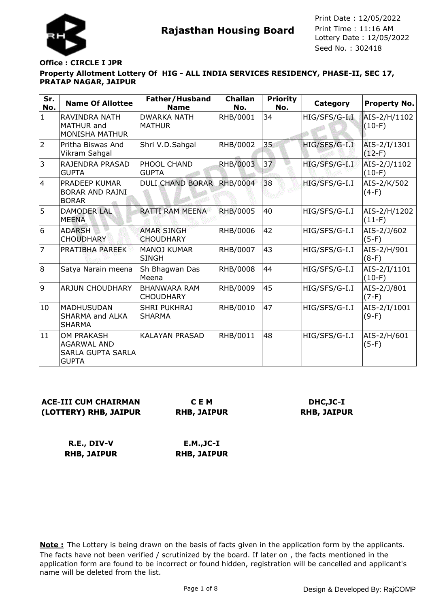



Seed No. : 302418 Print Date : 12/05/2022 Print Time : 11:16 AM

#### **Property Allotment Lottery Of HIG - ALL INDIA SERVICES RESIDENCY, PHASE-II, SEC 17, PRATAP NAGAR, JAIPUR Office : CIRCLE I JPR**

| Sr.<br>No.     | <b>Name Of Allottee</b>                                                      | Father/Husband<br><b>Name</b>           | <b>Challan</b><br>No. | <b>Priority</b><br>No. | Category      | <b>Property No.</b>      |
|----------------|------------------------------------------------------------------------------|-----------------------------------------|-----------------------|------------------------|---------------|--------------------------|
| $\mathbf{1}$   | RAVINDRA NATH<br><b>MATHUR</b> and<br><b>MONISHA MATHUR</b>                  | <b>DWARKA NATH</b><br><b>MATHUR</b>     | RHB/0001              | 34                     | HIG/SFS/G-I.I | AIS-2/H/1102<br>$(10-F)$ |
| $\overline{2}$ | Pritha Biswas And<br>Vikram Sahgal                                           | Shri V.D.Sahgal                         | RHB/0002              | 35                     | HIG/SFS/G-I.I | AIS-2/I/1301<br>$(12-F)$ |
| 3              | RAJENDRA PRASAD<br><b>GUPTA</b>                                              | PHOOL CHAND<br><b>GUPTA</b>             | RHB/0003              | 37                     | HIG/SFS/G-I.I | AIS-2/J/1102<br>$(10-F)$ |
| $\overline{4}$ | PRADEEP KUMAR<br><b>BORAR AND RAJNI</b><br><b>BORAR</b>                      | <b>DULI CHAND BORAR</b>                 | <b>RHB/0004</b>       | 38                     | HIG/SFS/G-I.I | AIS-2/K/502<br>$(4-F)$   |
| 5              | <b>DAMODER LAL</b><br><b>MEENA</b>                                           | <b>RATTI RAM MEENA</b>                  | <b>RHB/0005</b>       | 40                     | HIG/SFS/G-I.I | AIS-2/H/1202<br>$(11-F)$ |
| 6              | <b>ADARSH</b><br><b>CHOUDHARY</b>                                            | <b>AMAR SINGH</b><br><b>CHOUDHARY</b>   | RHB/0006              | 42                     | HIG/SFS/G-I.I | AIS-2/J/602<br>$(5-F)$   |
| 7              | PRATIBHA PAREEK                                                              | <b>MANOJ KUMAR</b><br><b>SINGH</b>      | RHB/0007              | 43                     | HIG/SFS/G-I.I | AIS-2/H/901<br>$(8-F)$   |
| 8              | Satya Narain meena                                                           | Sh Bhagwan Das<br>Meena                 | RHB/0008              | 44                     | HIG/SFS/G-I.I | AIS-2/I/1101<br>$(10-F)$ |
| 9              | <b>ARJUN CHOUDHARY</b>                                                       | <b>BHANWARA RAM</b><br><b>CHOUDHARY</b> | RHB/0009              | 45                     | HIG/SFS/G-I.I | AIS-2/J/801<br>$(7-F)$   |
| 10             | <b>MADHUSUDAN</b><br>SHARMA and ALKA<br><b>SHARMA</b>                        | <b>SHRI PUKHRAJ</b><br><b>SHARMA</b>    | RHB/0010              | 47                     | HIG/SFS/G-I.I | AIS-2/I/1001<br>$(9-F)$  |
| 11             | <b>OM PRAKASH</b><br><b>AGARWAL AND</b><br>SARLA GUPTA SARLA<br><b>GUPTA</b> | <b>KALAYAN PRASAD</b>                   | RHB/0011              | 48                     | HIG/SFS/G-I.I | AIS-2/H/601<br>$(5-F)$   |

# **ACE-III CUM CHAIRMAN (LOTTERY) RHB, JAIPUR**

**C E M RHB, JAIPUR**

# **DHC,JC-I RHB, JAIPUR**

**R.E., DIV-V RHB, JAIPUR**

**E.M.,JC-I RHB, JAIPUR**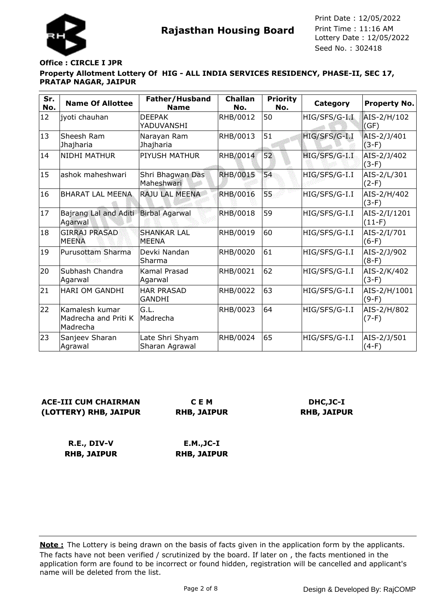



#### **Property Allotment Lottery Of HIG - ALL INDIA SERVICES RESIDENCY, PHASE-II, SEC 17, PRATAP NAGAR, JAIPUR Office : CIRCLE I JPR**

| Sr.<br>No. | <b>Name Of Allottee</b>                            | Father/Husband<br><b>Name</b>      | <b>Challan</b><br>No. | <b>Priority</b><br>No. | Category      | <b>Property No.</b>      |
|------------|----------------------------------------------------|------------------------------------|-----------------------|------------------------|---------------|--------------------------|
| 12         | jyoti chauhan                                      | <b>DEEPAK</b><br>YADUVANSHI        | RHB/0012              | 50                     | HIG/SFS/G-I.I | AIS-2/H/102<br>(GF)      |
| 13         | Sheesh Ram<br>Jhajharia                            | Narayan Ram<br>Jhajharia           | RHB/0013              | 51                     | HIG/SFS/G-I.I | AIS-2/J/401<br>$(3-F)$   |
| 14         | <b>NIDHI MATHUR</b>                                | <b>PIYUSH MATHUR</b>               | RHB/0014              | 52                     | HIG/SFS/G-I.I | AIS-2/J/402<br>$(3-F)$   |
| 15         | ashok maheshwari                                   | Shri Bhagwan Das<br>Maheshwari     | <b>RHB/0015</b>       | 54                     | HIG/SFS/G-I.I | AIS-2/L/301<br>$(2-F)$   |
| 16         | <b>BHARAT LAL MEENA</b>                            | RAJU LAL MEENA                     | <b>RHB/0016</b>       | 55                     | HIG/SFS/G-I.I | AIS-2/H/402<br>$(3-F)$   |
| 17         | Bajrang Lal and Aditi<br>Agarwal                   | <b>Birbal Agarwal</b>              | <b>RHB/0018</b>       | 59                     | HIG/SFS/G-I.I | AIS-2/I/1201<br>$(11-F)$ |
| 18         | <b>GIRRAJ PRASAD</b><br><b>MEENA</b>               | <b>SHANKAR LAL</b><br><b>MEENA</b> | RHB/0019              | 60                     | HIG/SFS/G-I.I | AIS-2/I/701<br>$(6-F)$   |
| 19         | Purusottam Sharma                                  | Devki Nandan<br>Sharma             | RHB/0020              | 61                     | HIG/SFS/G-I.I | AIS-2/J/902<br>$(8-F)$   |
| 20         | Subhash Chandra<br>Agarwal                         | Kamal Prasad<br>Agarwal            | RHB/0021              | 62                     | HIG/SFS/G-I.I | AIS-2/K/402<br>$(3-F)$   |
| 21         | HARI OM GANDHI                                     | <b>HAR PRASAD</b><br><b>GANDHI</b> | RHB/0022              | 63                     | HIG/SFS/G-I.I | AIS-2/H/1001<br>$(9-F)$  |
| 22         | Kamalesh kumar<br>Madrecha and Priti K<br>Madrecha | GL.<br>Madrecha                    | RHB/0023              | 64                     | HIG/SFS/G-I.I | AIS-2/H/802<br>$(7-F)$   |
| 23         | Sanjeev Sharan<br>Agrawal                          | Late Shri Shyam<br>Sharan Agrawal  | RHB/0024              | 65                     | HIG/SFS/G-I.I | AIS-2/J/501<br>$(4-F)$   |

# **ACE-III CUM CHAIRMAN (LOTTERY) RHB, JAIPUR**

**C E M RHB, JAIPUR**

### **DHC,JC-I RHB, JAIPUR**

**R.E., DIV-V RHB, JAIPUR E.M.,JC-I RHB, JAIPUR**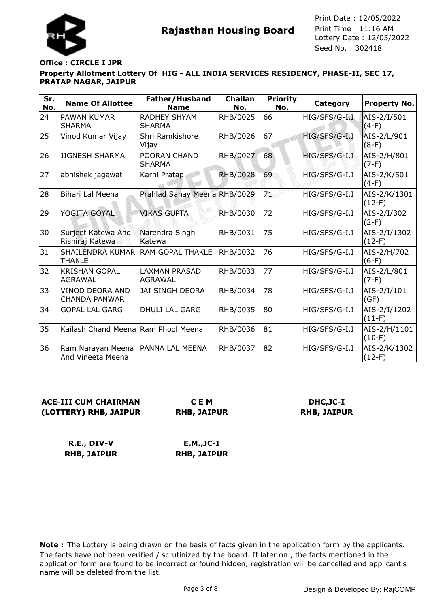



Seed No. : 302418 Print Date : 12/05/2022 Print Time : 11:16 AM

#### **Property Allotment Lottery Of HIG - ALL INDIA SERVICES RESIDENCY, PHASE-II, SEC 17, PRATAP NAGAR, JAIPUR Office : CIRCLE I JPR**

| Sr.<br>No. | <b>Name Of Allottee</b>                 | Father/Husband<br><b>Name</b>        | <b>Challan</b><br>No. | <b>Priority</b><br>No. | <b>Category</b> | Property No.             |
|------------|-----------------------------------------|--------------------------------------|-----------------------|------------------------|-----------------|--------------------------|
| 24         | <b>PAWAN KUMAR</b><br><b>SHARMA</b>     | <b>RADHEY SHYAM</b><br><b>SHARMA</b> | RHB/0025              | 66                     | HIG/SFS/G-I.I   | AIS-2/I/501<br>$(4-F)$   |
| 25         | Vinod Kumar Vijay                       | Shri Ramkishore<br>Vijay             | RHB/0026              | 67                     | HIG/SFS/G-I.I   | AIS-2/L/901<br>$(8-F)$   |
| 26         | <b>JIGNESH SHARMA</b>                   | POORAN CHAND<br><b>SHARMA</b>        | RHB/0027              | 68                     | HIG/SFS/G-I.I   | AIS-2/H/801<br>$(7-F)$   |
| 27         | abhishek jagawat                        | Karni Pratap                         | <b>RHB/0028</b>       | 69                     | HIG/SFS/G-I.I   | AIS-2/K/501<br>$(4-F)$   |
| 28         | Bihari Lal Meena                        | Prahlad Sahay Meena RHB/0029         |                       | 71.                    | HIG/SFS/G-I.I   | AIS-2/K/1301<br>$(12-F)$ |
| 29         | YOGITA GOYAL                            | <b>VIKAS GUPTA</b>                   | <b>RHB/0030</b>       | 72                     | HIG/SFS/G-I.I   | AIS-2/I/302<br>$(2-F)$   |
| 30         | Surjeet Katewa And<br>Rishiraj Katewa   | Narendra Singh<br>Katewa             | RHB/0031              | 75                     | HIG/SFS/G-I.I   | AIS-2/I/1302<br>$(12-F)$ |
| 31         | SHAILENDRA KUMAR<br><b>THAKLE</b>       | lRAM GOPAL THAKLE                    | RHB/0032              | 76                     | HIG/SFS/G-I.I   | AIS-2/H/702<br>$(6-F)$   |
| 32         | <b>KRISHAN GOPAL</b><br><b>AGRAWAL</b>  | LAXMAN PRASAD<br><b>AGRAWAL</b>      | RHB/0033              | 77                     | HIG/SFS/G-I.I   | AIS-2/L/801<br>$(7-F)$   |
| 33         | VINOD DEORA AND<br><b>CHANDA PANWAR</b> | <b>JAI SINGH DEORA</b>               | RHB/0034              | 78                     | HIG/SFS/G-I.I   | AIS-2/I/101<br>(GF)      |
| 34         | <b>GOPAL LAL GARG</b>                   | <b>DHULI LAL GARG</b>                | RHB/0035              | 80                     | HIG/SFS/G-I.I   | AIS-2/I/1202<br>$(11-F)$ |
| 35         | Kailash Chand Meena Ram Phool Meena     |                                      | RHB/0036              | 81                     | HIG/SFS/G-I.I   | AIS-2/H/1101<br>$(10-F)$ |
| 36         | Ram Narayan Meena<br>And Vineeta Meena  | PANNA LAL MEENA                      | RHB/0037              | 82                     | HIG/SFS/G-I.I   | AIS-2/K/1302<br>$(12-F)$ |

# **ACE-III CUM CHAIRMAN (LOTTERY) RHB, JAIPUR**

**C E M RHB, JAIPUR**

# **DHC,JC-I RHB, JAIPUR**

**R.E., DIV-V RHB, JAIPUR**

**E.M.,JC-I RHB, JAIPUR**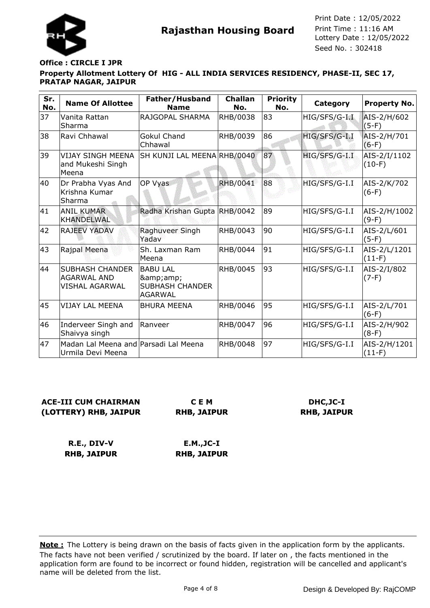

# **Office : CIRCLE I JPR**

### **Property Allotment Lottery Of HIG - ALL INDIA SERVICES RESIDENCY, PHASE-II, SEC 17, PRATAP NAGAR, JAIPUR**

| Sr.<br>No. | <b>Name Of Allottee</b>                                               | Father/Husband<br><b>Name</b>                                    | <b>Challan</b><br>No. | <b>Priority</b><br>No. | Category      | <b>Property No.</b>      |
|------------|-----------------------------------------------------------------------|------------------------------------------------------------------|-----------------------|------------------------|---------------|--------------------------|
| 37         | Vanita Rattan<br>Sharma                                               | RAJGOPAL SHARMA                                                  | RHB/0038              | 83                     | HIG/SFS/G-I.I | AIS-2/H/602<br>$(5-F)$   |
| 38         | Ravi Chhawal                                                          | <b>Gokul Chand</b><br>Chhawal                                    | RHB/0039              | 86                     | HIG/SFS/G-I.I | AIS-2/H/701<br>$(6-F)$   |
| 39         | <b>VIJAY SINGH MEENA</b><br>and Mukeshi Singh<br>Meena                | SH KUNJI LAL MEENA RHB/0040                                      |                       | 87                     | HIG/SFS/G-I.I | AIS-2/I/1102<br>$(10-F)$ |
| 40         | Dr Prabha Vyas And<br>Krishna Kumar<br>Sharma                         | OP Vyas                                                          | <b>RHB/0041</b>       | 88                     | HIG/SFS/G-I.I | AIS-2/K/702<br>$(6-F)$   |
| 41         | <b>ANIL KUMAR</b><br><b>KHANDELWAL</b>                                | Radha Krishan Gupta RHB/0042                                     |                       | 89                     | HIG/SFS/G-I.I | AIS-2/H/1002<br>$(9-F)$  |
| 42         | <b>RAJEEV YADAV</b>                                                   | Raghuveer Singh<br>Yadav                                         | RHB/0043              | 90                     | HIG/SFS/G-I.I | AIS-2/L/601<br>$(5-F)$   |
| 43         | Rajpal Meena                                                          | Sh. Laxman Ram<br>Meena                                          | RHB/0044              | 91                     | HIG/SFS/G-I.I | AIS-2/L/1201<br>$(11-F)$ |
| 44         | <b>SUBHASH CHANDER</b><br><b>AGARWAL AND</b><br><b>VISHAL AGARWAL</b> | <b>BABU LAL</b><br>&<br><b>SUBHASH CHANDER</b><br><b>AGARWAL</b> | RHB/0045              | 93                     | HIG/SFS/G-I.I | AIS-2/I/802<br>$(7-F)$   |
| 45         | VIJAY LAL MEENA                                                       | <b>BHURA MEENA</b>                                               | RHB/0046              | 95                     | HIG/SFS/G-I.I | AIS-2/L/701<br>$(6-F)$   |
| 46         | Inderveer Singh and<br>Shaivya singh                                  | Ranveer                                                          | RHB/0047              | 96                     | HIG/SFS/G-I.I | AIS-2/H/902<br>$(8-F)$   |
| 47         | Madan Lal Meena and Parsadi Lal Meena<br>Urmila Devi Meena            |                                                                  | RHB/0048              | 97                     | HIG/SFS/G-I.I | AIS-2/H/1201<br>$(11-F)$ |

### **ACE-III CUM CHAIRMAN (LOTTERY) RHB, JAIPUR**

**C E M RHB, JAIPUR**

# **DHC,JC-I RHB, JAIPUR**

**R.E., DIV-V RHB, JAIPUR E.M.,JC-I RHB, JAIPUR**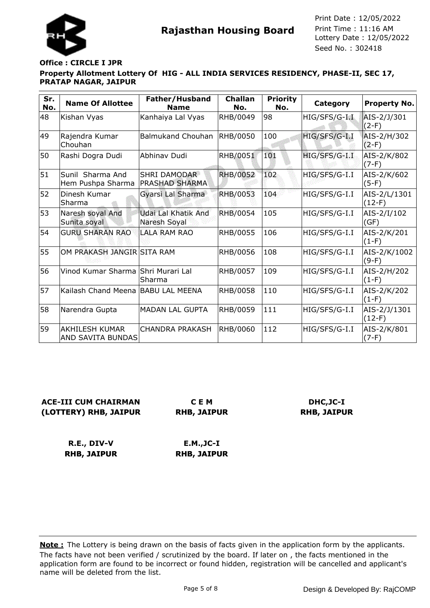

#### **Property Allotment Lottery Of HIG - ALL INDIA SERVICES RESIDENCY, PHASE-II, SEC 17, PRATAP NAGAR, JAIPUR Office : CIRCLE I JPR**

| Sr.<br>No. | <b>Name Of Allottee</b>                           | Father/Husband<br><b>Name</b>                | <b>Challan</b><br>No. | <b>Priority</b><br>No. | Category      | <b>Property No.</b>      |
|------------|---------------------------------------------------|----------------------------------------------|-----------------------|------------------------|---------------|--------------------------|
| 48         | Kishan Vyas                                       | Kanhaiya Lal Vyas                            | RHB/0049              | 98                     | HIG/SFS/G-I.I | AIS-2/J/301<br>$(2-F)$   |
| 49         | Rajendra Kumar<br>Chouhan                         | Balmukand Chouhan                            | RHB/0050              | 100                    | HIG/SFS/G-I.I | AIS-2/H/302<br>$(2-F)$   |
| 50         | Rashi Dogra Dudi                                  | Abhinav Dudi                                 | RHB/0051              | 101                    | HIG/SFS/G-I.I | AIS-2/K/802<br>$(7-F)$   |
| 51         | Sunil Sharma And<br>Hem Pushpa Sharma             | <b>SHRI DAMODAR</b><br><b>PRASHAD SHARMA</b> | <b>RHB/0052</b>       | 102                    | HIG/SFS/G-I.I | AIS-2/K/602<br>$(5-F)$   |
| 52         | Dinesh Kumar<br>Sharma                            | Gyarsi Lal Sharma                            | <b>RHB/0053</b>       | 104                    | HIG/SFS/G-I.I | AIS-2/L/1301<br>$(12-F)$ |
| 53         | Naresh soyal And<br>Sunita soyal                  | Udai Lal Khatik And<br>Naresh Soyal          | <b>RHB/0054</b>       | 105                    | HIG/SFS/G-I.I | AIS-2/I/102<br>(GF)      |
| 54         | <b>GURU SHARAN RAO</b>                            | <b>LALA RAM RAO</b>                          | RHB/0055              | 106                    | HIG/SFS/G-I.I | AIS-2/K/201<br>$(1-F)$   |
| 55         | OM PRAKASH JANGIR SITA RAM                        |                                              | RHB/0056              | 108                    | HIG/SFS/G-I.I | AIS-2/K/1002<br>$(9-F)$  |
| 56         | Vinod Kumar Sharma Shri Murari Lal                | Sharma                                       | RHB/0057              | 109                    | HIG/SFS/G-I.I | AIS-2/H/202<br>$(1-F)$   |
| 57         | Kailash Chand Meena BABU LAL MEENA                |                                              | RHB/0058              | 110                    | HIG/SFS/G-I.I | AIS-2/K/202<br>$(1-F)$   |
| 58         | Narendra Gupta                                    | <b>MADAN LAL GUPTA</b>                       | RHB/0059              | 111                    | HIG/SFS/G-I.I | AIS-2/J/1301<br>$(12-F)$ |
| 59         | <b>AKHILESH KUMAR</b><br><b>AND SAVITA BUNDAS</b> | <b>CHANDRA PRAKASH</b>                       | RHB/0060              | 112                    | HIG/SFS/G-I.I | AIS-2/K/801<br>$(7-F)$   |

**ACE-III CUM CHAIRMAN (LOTTERY) RHB, JAIPUR**

**C E M RHB, JAIPUR**

**DHC,JC-I RHB, JAIPUR**

**R.E., DIV-V RHB, JAIPUR E.M.,JC-I RHB, JAIPUR**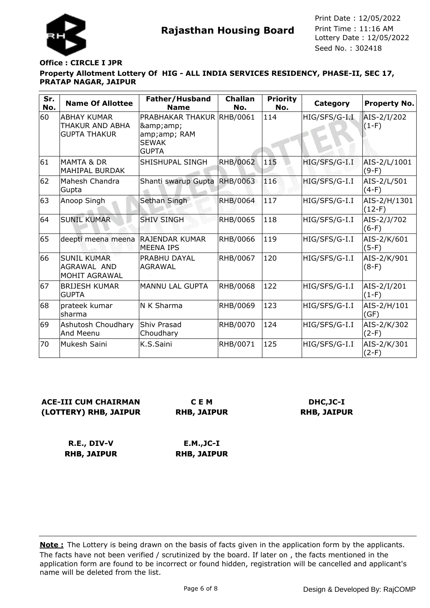

### **Office : CIRCLE I JPR**

#### **Property Allotment Lottery Of HIG - ALL INDIA SERVICES RESIDENCY, PHASE-II, SEC 17, PRATAP NAGAR, JAIPUR**

| Sr.<br>No. | <b>Name Of Allottee</b>                                      | Father/Husband<br><b>Name</b>                                                  | <b>Challan</b><br>No. | <b>Priority</b><br>No. | Category      | <b>Property No.</b>      |
|------------|--------------------------------------------------------------|--------------------------------------------------------------------------------|-----------------------|------------------------|---------------|--------------------------|
| 60         | <b>ABHAY KUMAR</b><br>THAKUR AND ABHA<br><b>GUPTA THAKUR</b> | PRABHAKAR THAKUR RHB/0061<br>&<br>amp;amp; RAM<br><b>SEWAK</b><br><b>GUPTA</b> |                       | 114                    | HIG/SFS/G-I.I | AIS-2/I/202<br>$(1-F)$   |
| 61         | <b>MAMTA &amp; DR</b><br><b>MAHIPAL BURDAK</b>               | SHISHUPAL SINGH                                                                | RHB/0062              | 115                    | HIG/SFS/G-I.I | AIS-2/L/1001<br>$(9-F)$  |
| 62         | Mahesh Chandra<br>Gupta                                      | Shanti swarup Gupta                                                            | <b>RHB/0063</b>       | 116                    | HIG/SFS/G-I.I | AIS-2/L/501<br>$(4-F)$   |
| 63         | Anoop Singh                                                  | Sethan Singh                                                                   | <b>RHB/0064</b>       | 117                    | HIG/SFS/G-I.I | AIS-2/H/1301<br>$(12-F)$ |
| 64         | <b>SUNIL KUMAR</b>                                           | <b>SHIV SINGH</b>                                                              | RHB/0065              | 118                    | HIG/SFS/G-I.I | AIS-2/J/702<br>$(6-F)$   |
| 65         | deepti meena meena                                           | <b>RAJENDAR KUMAR</b><br><b>MEENA IPS</b>                                      | RHB/0066              | 119                    | HIG/SFS/G-I.I | AIS-2/K/601<br>$(5-F)$   |
| 66         | <b>SUNIL KUMAR</b><br>AGRAWAL AND<br>MOHIT AGRAWAL           | PRABHU DAYAL<br><b>AGRAWAL</b>                                                 | RHB/0067              | 120                    | HIG/SFS/G-I.I | AIS-2/K/901<br>$(8-F)$   |
| 67         | <b>BRIJESH KUMAR</b><br><b>GUPTA</b>                         | <b>MANNU LAL GUPTA</b>                                                         | RHB/0068              | 122                    | HIG/SFS/G-I.I | AIS-2/I/201<br>$(1-F)$   |
| 68         | prateek kumar<br>sharma                                      | N K Sharma                                                                     | RHB/0069              | 123                    | HIG/SFS/G-I.I | AIS-2/H/101<br>(GF)      |
| 69         | Ashutosh Choudhary<br>And Meenu                              | Shiv Prasad<br>Choudhary                                                       | RHB/0070              | 124                    | HIG/SFS/G-I.I | AIS-2/K/302<br>$(2-F)$   |
| 70         | Mukesh Saini                                                 | K.S.Saini                                                                      | RHB/0071              | 125                    | HIG/SFS/G-I.I | AIS-2/K/301<br>$(2-F)$   |

# **ACE-III CUM CHAIRMAN (LOTTERY) RHB, JAIPUR**

**C E M RHB, JAIPUR**

### **DHC,JC-I RHB, JAIPUR**

**R.E., DIV-V RHB, JAIPUR**

**E.M.,JC-I RHB, JAIPUR**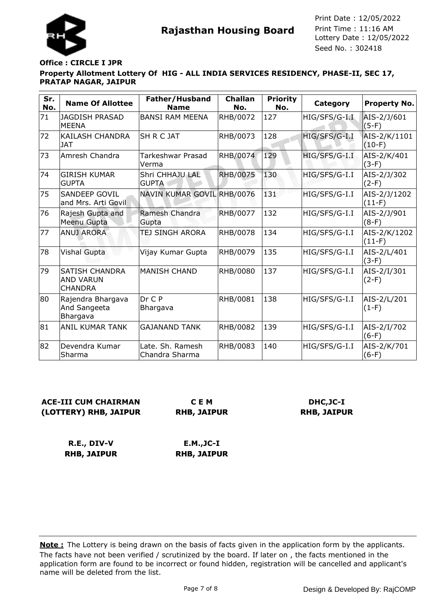

#### **Property Allotment Lottery Of HIG - ALL INDIA SERVICES RESIDENCY, PHASE-II, SEC 17, PRATAP NAGAR, JAIPUR Office : CIRCLE I JPR**

| Sr.<br>No. | <b>Name Of Allottee</b>                                     | Father/Husband<br><b>Name</b>      | <b>Challan</b><br>No. | <b>Priority</b><br>No. | Category      | Property No.             |
|------------|-------------------------------------------------------------|------------------------------------|-----------------------|------------------------|---------------|--------------------------|
| 71         | <b>JAGDISH PRASAD</b><br>IMEENA                             | <b>BANSI RAM MEENA</b>             | RHB/0072              | 127                    | HIG/SFS/G-I.I | AIS-2/J/601<br>$(5-F)$   |
| 72         | KAILASH CHANDRA<br><b>JAT</b>                               | SH R C JAT                         | RHB/0073              | 128                    | HIG/SFS/G-I.I | AIS-2/K/1101<br>$(10-F)$ |
| 73         | Amresh Chandra                                              | Tarkeshwar Prasad<br>Verma         | <b>RHB/0074</b>       | 129                    | HIG/SFS/G-I.I | AIS-2/K/401<br>$(3-F)$   |
| 74         | <b>GIRISH KUMAR</b><br><b>GUPTA</b>                         | Shri CHHAJU LAL<br><b>GUPTA</b>    | <b>RHB/0075</b>       | 130                    | HIG/SFS/G-I.I | AIS-2/J/302<br>$(2-F)$   |
| 75         | <b>SANDEEP GOVIL</b><br>and Mrs. Arti Govil                 | <b>NAVIN KUMAR GOVIL</b>           | <b>RHB/0076</b>       | Ŧз.                    | HIG/SFS/G-I.I | AIS-2/J/1202<br>$(11-F)$ |
| 76         | Rajesh Gupta and<br>Meenu Gupta                             | Ramesh Chandra<br>Gupta            | <b>RHB/0077</b>       | 132                    | HIG/SFS/G-I.I | AIS-2/J/901<br>$(8-F)$   |
| 77         | <b>ANUJ ARORA</b>                                           | TEJ SINGH ARORA                    | <b>RHB/0078</b>       | 134                    | HIG/SFS/G-I.I | AIS-2/K/1202<br>$(11-F)$ |
| 78         | <b>Vishal Gupta</b>                                         | Vijay Kumar Gupta                  | RHB/0079              | 135                    | HIG/SFS/G-I.I | AIS-2/L/401<br>$(3-F)$   |
| 79         | <b>SATISH CHANDRA</b><br><b>AND VARUN</b><br><b>CHANDRA</b> | <b>MANISH CHAND</b>                | RHB/0080              | 137                    | HIG/SFS/G-I.I | AIS-2/I/301<br>$(2-F)$   |
| 80         | Rajendra Bhargava<br>And Sangeeta<br>Bhargava               | Dr C P<br>Bhargava                 | RHB/0081              | 138                    | HIG/SFS/G-I.I | AIS-2/L/201<br>$(1-F)$   |
| 81         | <b>ANIL KUMAR TANK</b>                                      | <b>GAJANAND TANK</b>               | RHB/0082              | 139                    | HIG/SFS/G-I.I | AIS-2/I/702<br>$(6-F)$   |
| 82         | Devendra Kumar<br>Sharma                                    | Late, Sh. Ramesh<br>Chandra Sharma | RHB/0083              | 140                    | HIG/SFS/G-I.I | AIS-2/K/701<br>$(6-F)$   |

# **ACE-III CUM CHAIRMAN (LOTTERY) RHB, JAIPUR**

**C E M RHB, JAIPUR**

# **DHC,JC-I RHB, JAIPUR**

**R.E., DIV-V RHB, JAIPUR**

**E.M.,JC-I RHB, JAIPUR**